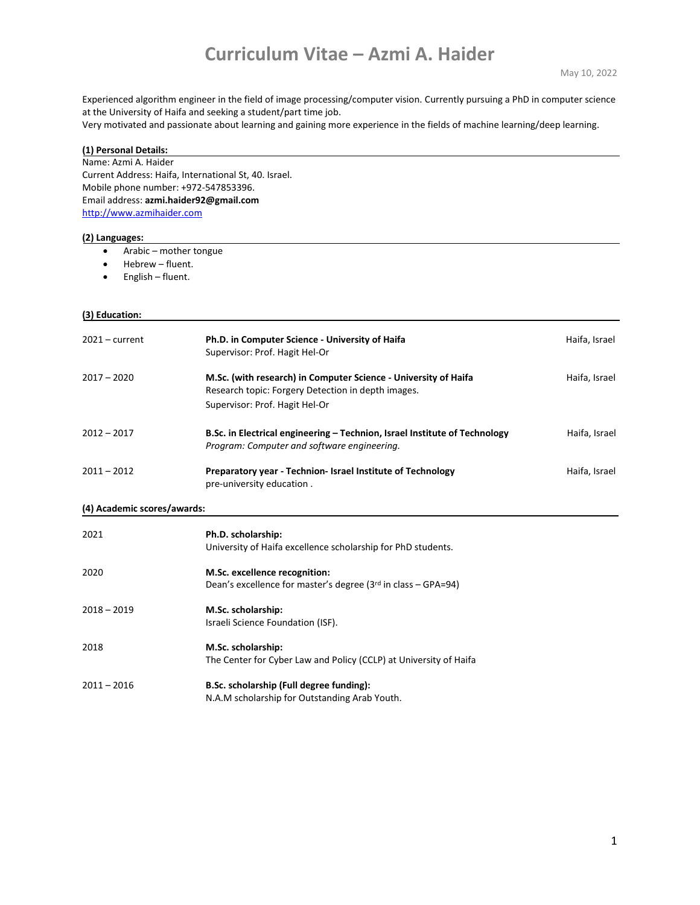## **Curriculum Vitae – Azmi A. Haider**

Experienced algorithm engineer in the field of image processing/computer vision. Currently pursuing a PhD in computer science at the University of Haifa and seeking a student/part time job.

Very motivated and passionate about learning and gaining more experience in the fields of machine learning/deep learning.

| (1) Personal Details:                                                |                                                                            |               |                                |  |  |
|----------------------------------------------------------------------|----------------------------------------------------------------------------|---------------|--------------------------------|--|--|
| Name: Azmi A. Haider                                                 |                                                                            |               |                                |  |  |
| Current Address: Haifa, International St, 40. Israel.                |                                                                            |               |                                |  |  |
| Mobile phone number: +972-547853396.                                 |                                                                            |               |                                |  |  |
|                                                                      | Email address: azmi.haider92@gmail.com<br>http://www.azmihaider.com        |               |                                |  |  |
|                                                                      |                                                                            |               |                                |  |  |
|                                                                      |                                                                            |               |                                |  |  |
| (2) Languages:                                                       |                                                                            |               |                                |  |  |
| Arabic - mother tongue<br>$\bullet$<br>Hebrew - fluent.<br>$\bullet$ |                                                                            |               |                                |  |  |
|                                                                      |                                                                            |               | English - fluent.<br>$\bullet$ |  |  |
|                                                                      |                                                                            |               |                                |  |  |
|                                                                      |                                                                            |               |                                |  |  |
| (3) Education:                                                       |                                                                            |               |                                |  |  |
|                                                                      |                                                                            |               |                                |  |  |
| $2021 - current$                                                     | Ph.D. in Computer Science - University of Haifa                            | Haifa, Israel |                                |  |  |
|                                                                      | Supervisor: Prof. Hagit Hel-Or                                             |               |                                |  |  |
|                                                                      |                                                                            |               |                                |  |  |
| $2017 - 2020$                                                        | M.Sc. (with research) in Computer Science - University of Haifa            | Haifa, Israel |                                |  |  |
|                                                                      | Research topic: Forgery Detection in depth images.                         |               |                                |  |  |
|                                                                      | Supervisor: Prof. Hagit Hel-Or                                             |               |                                |  |  |
|                                                                      |                                                                            |               |                                |  |  |
| $2012 - 2017$                                                        | B.Sc. in Electrical engineering - Technion, Israel Institute of Technology | Haifa, Israel |                                |  |  |
|                                                                      | Program: Computer and software engineering.                                |               |                                |  |  |
| $2011 - 2012$                                                        | Preparatory year - Technion- Israel Institute of Technology                |               |                                |  |  |
|                                                                      |                                                                            | Haifa, Israel |                                |  |  |
|                                                                      | pre-university education.                                                  |               |                                |  |  |
| (4) Academic scores/awards:                                          |                                                                            |               |                                |  |  |
|                                                                      |                                                                            |               |                                |  |  |
| 2021                                                                 | Ph.D. scholarship:                                                         |               |                                |  |  |
|                                                                      | University of Haifa excellence scholarship for PhD students.               |               |                                |  |  |
|                                                                      |                                                                            |               |                                |  |  |
| 2020                                                                 | M.Sc. excellence recognition:                                              |               |                                |  |  |
|                                                                      | Dean's excellence for master's degree (3rd in class - GPA=94)              |               |                                |  |  |
| $2018 - 2019$                                                        | M.Sc. scholarship:                                                         |               |                                |  |  |
|                                                                      |                                                                            |               |                                |  |  |
|                                                                      | Israeli Science Foundation (ISF).                                          |               |                                |  |  |
| 2018                                                                 | M.Sc. scholarship:                                                         |               |                                |  |  |
|                                                                      | The Center for Cyber Law and Policy (CCLP) at University of Haifa          |               |                                |  |  |
|                                                                      |                                                                            |               |                                |  |  |
| $2011 - 2016$                                                        | B.Sc. scholarship (Full degree funding):                                   |               |                                |  |  |
|                                                                      | N.A.M scholarship for Outstanding Arab Youth.                              |               |                                |  |  |